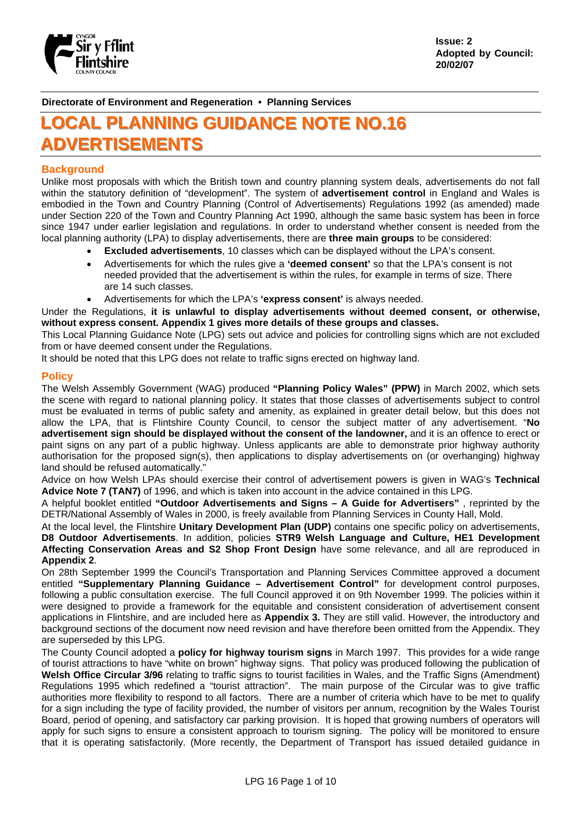

**Issue: 2 Adopted by Council: 20/02/07** 

**Directorate of Environment and Regeneration • Planning Services**

# **LOCAL PLANNING GUIDANCE NOTE NO.16** ADVERTISEMENTS

# **Background**

Unlike most proposals with which the British town and country planning system deals, advertisements do not fall within the statutory definition of "development". The system of **advertisement control** in England and Wales is embodied in the Town and Country Planning (Control of Advertisements) Regulations 1992 (as amended) made under Section 220 of the Town and Country Planning Act 1990, although the same basic system has been in force since 1947 under earlier legislation and regulations. In order to understand whether consent is needed from the local planning authority (LPA) to display advertisements, there are **three main groups** to be considered:

- **Excluded advertisements**, 10 classes which can be displayed without the LPA's consent.
- Advertisements for which the rules give a **'deemed consent'** so that the LPA's consent is not needed provided that the advertisement is within the rules, for example in terms of size. There are 14 such classes.
- Advertisements for which the LPA's **'express consent'** is always needed.

Under the Regulations, **it is unlawful to display advertisements without deemed consent, or otherwise, without express consent. Appendix 1 gives more details of these groups and classes.** 

This Local Planning Guidance Note (LPG) sets out advice and policies for controlling signs which are not excluded from or have deemed consent under the Regulations.

It should be noted that this LPG does not relate to traffic signs erected on highway land.

## **Policy**

The Welsh Assembly Government (WAG) produced **"Planning Policy Wales" (PPW)** in March 2002, which sets the scene with regard to national planning policy. It states that those classes of advertisements subject to control must be evaluated in terms of public safety and amenity, as explained in greater detail below, but this does not allow the LPA, that is Flintshire County Council, to censor the subject matter of any advertisement. "**No advertisement sign should be displayed without the consent of the landowner,** and it is an offence to erect or paint signs on any part of a public highway. Unless applicants are able to demonstrate prior highway authority authorisation for the proposed sign(s), then applications to display advertisements on (or overhanging) highway land should be refused automatically."

Advice on how Welsh LPAs should exercise their control of advertisement powers is given in WAG's **Technical Advice Note 7 (TAN7)** of 1996, and which is taken into account in the advice contained in this LPG.

A helpful booklet entitled **"Outdoor Advertisements and Signs – A Guide for Advertisers"** , reprinted by the DETR/National Assembly of Wales in 2000, is freely available from Planning Services in County Hall, Mold.

At the local level, the Flintshire **Unitary Development Plan (UDP)** contains one specific policy on advertisements, **D8 Outdoor Advertisements**. In addition, policies **STR9 Welsh Language and Culture, HE1 Development Affecting Conservation Areas and S2 Shop Front Design** have some relevance, and all are reproduced in **Appendix 2**.

On 28th September 1999 the Council's Transportation and Planning Services Committee approved a document entitled **"Supplementary Planning Guidance – Advertisement Control"** for development control purposes, following a public consultation exercise. The full Council approved it on 9th November 1999. The policies within it were designed to provide a framework for the equitable and consistent consideration of advertisement consent applications in Flintshire, and are included here as **Appendix 3.** They are still valid. However, the introductory and background sections of the document now need revision and have therefore been omitted from the Appendix. They are superseded by this LPG.

The County Council adopted a **policy for highway tourism signs** in March 1997. This provides for a wide range of tourist attractions to have "white on brown" highway signs. That policy was produced following the publication of **Welsh Office Circular 3/96** relating to traffic signs to tourist facilities in Wales, and the Traffic Signs (Amendment) Regulations 1995 which redefined a "tourist attraction". The main purpose of the Circular was to give traffic authorities more flexibility to respond to all factors. There are a number of criteria which have to be met to qualify for a sign including the type of facility provided, the number of visitors per annum, recognition by the Wales Tourist Board, period of opening, and satisfactory car parking provision. It is hoped that growing numbers of operators will apply for such signs to ensure a consistent approach to tourism signing. The policy will be monitored to ensure that it is operating satisfactorily. (More recently, the Department of Transport has issued detailed guidance in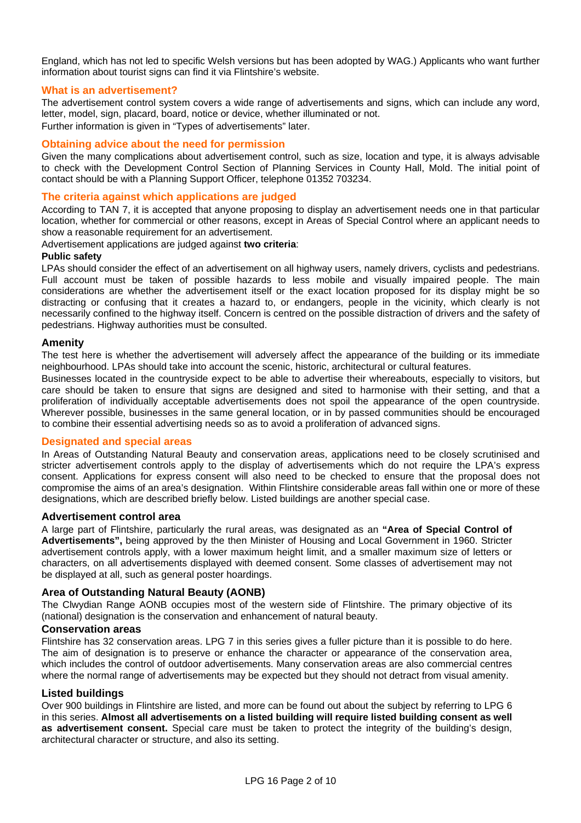England, which has not led to specific Welsh versions but has been adopted by WAG.) Applicants who want further information about tourist signs can find it via Flintshire's website.

# **What is an advertisement?**

The advertisement control system covers a wide range of advertisements and signs, which can include any word, letter, model, sign, placard, board, notice or device, whether illuminated or not. Further information is given in "Types of advertisements" later.

## **Obtaining advice about the need for permission**

Given the many complications about advertisement control, such as size, location and type, it is always advisable to check with the Development Control Section of Planning Services in County Hall, Mold. The initial point of contact should be with a Planning Support Officer, telephone 01352 703234.

## **The criteria against which applications are judged**

According to TAN 7, it is accepted that anyone proposing to display an advertisement needs one in that particular location, whether for commercial or other reasons, except in Areas of Special Control where an applicant needs to show a reasonable requirement for an advertisement.

Advertisement applications are judged against **two criteria**:

## **Public safety**

LPAs should consider the effect of an advertisement on all highway users, namely drivers, cyclists and pedestrians. Full account must be taken of possible hazards to less mobile and visually impaired people. The main considerations are whether the advertisement itself or the exact location proposed for its display might be so distracting or confusing that it creates a hazard to, or endangers, people in the vicinity, which clearly is not necessarily confined to the highway itself. Concern is centred on the possible distraction of drivers and the safety of pedestrians. Highway authorities must be consulted.

#### **Amenity**

The test here is whether the advertisement will adversely affect the appearance of the building or its immediate neighbourhood. LPAs should take into account the scenic, historic, architectural or cultural features.

Businesses located in the countryside expect to be able to advertise their whereabouts, especially to visitors, but care should be taken to ensure that signs are designed and sited to harmonise with their setting, and that a proliferation of individually acceptable advertisements does not spoil the appearance of the open countryside. Wherever possible, businesses in the same general location, or in by passed communities should be encouraged to combine their essential advertising needs so as to avoid a proliferation of advanced signs.

#### **Designated and special areas**

In Areas of Outstanding Natural Beauty and conservation areas, applications need to be closely scrutinised and stricter advertisement controls apply to the display of advertisements which do not require the LPA's express consent. Applications for express consent will also need to be checked to ensure that the proposal does not compromise the aims of an area's designation. Within Flintshire considerable areas fall within one or more of these designations, which are described briefly below. Listed buildings are another special case.

#### **Advertisement control area**

A large part of Flintshire, particularly the rural areas, was designated as an **"Area of Special Control of Advertisements",** being approved by the then Minister of Housing and Local Government in 1960. Stricter advertisement controls apply, with a lower maximum height limit, and a smaller maximum size of letters or characters, on all advertisements displayed with deemed consent. Some classes of advertisement may not be displayed at all, such as general poster hoardings.

# **Area of Outstanding Natural Beauty (AONB)**

The Clwydian Range AONB occupies most of the western side of Flintshire. The primary objective of its (national) designation is the conservation and enhancement of natural beauty.

## **Conservation areas**

Flintshire has 32 conservation areas. LPG 7 in this series gives a fuller picture than it is possible to do here. The aim of designation is to preserve or enhance the character or appearance of the conservation area, which includes the control of outdoor advertisements. Many conservation areas are also commercial centres where the normal range of advertisements may be expected but they should not detract from visual amenity.

#### **Listed buildings**

Over 900 buildings in Flintshire are listed, and more can be found out about the subject by referring to LPG 6 in this series. **Almost all advertisements on a listed building will require listed building consent as well as advertisement consent.** Special care must be taken to protect the integrity of the building's design, architectural character or structure, and also its setting.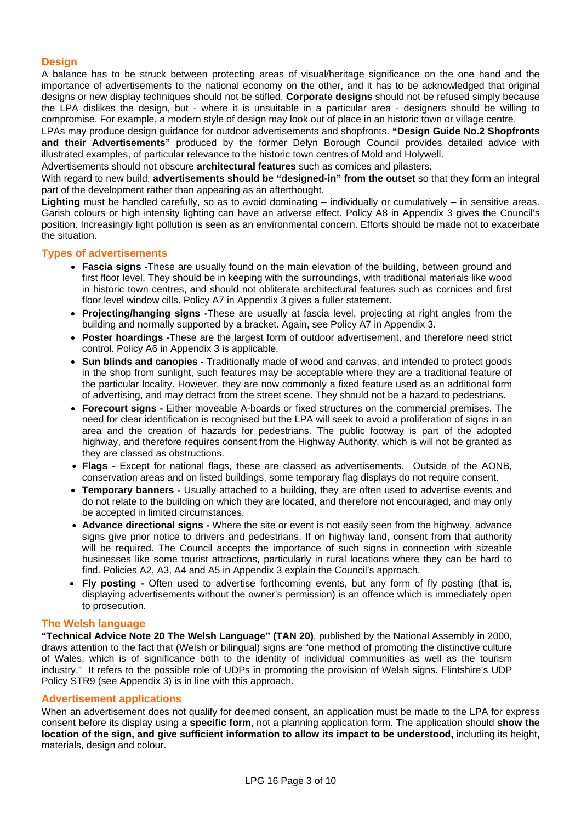# **Design**

A balance has to be struck between protecting areas of visual/heritage significance on the one hand and the importance of advertisements to the national economy on the other, and it has to be acknowledged that original designs or new display techniques should not be stifled. **Corporate designs** should not be refused simply because the LPA dislikes the design, but - where it is unsuitable in a particular area - designers should be willing to compromise. For example, a modern style of design may look out of place in an historic town or village centre.

LPAs may produce design guidance for outdoor advertisements and shopfronts. **"Design Guide No.2 Shopfronts and their Advertisements"** produced by the former Delyn Borough Council provides detailed advice with illustrated examples, of particular relevance to the historic town centres of Mold and Holywell.

Advertisements should not obscure **architectural features** such as cornices and pilasters.

With regard to new build, **advertisements should be "designed-in" from the outset** so that they form an integral part of the development rather than appearing as an afterthought.

**Lighting** must be handled carefully, so as to avoid dominating – individually or cumulatively – in sensitive areas. Garish colours or high intensity lighting can have an adverse effect. Policy A8 in Appendix 3 gives the Council's position. Increasingly light pollution is seen as an environmental concern. Efforts should be made not to exacerbate the situation.

# **Types of advertisements**

- **Fascia signs -**These are usually found on the main elevation of the building, between ground and first floor level. They should be in keeping with the surroundings, with traditional materials like wood in historic town centres, and should not obliterate architectural features such as cornices and first floor level window cills. Policy A7 in Appendix 3 gives a fuller statement.
- **Projecting/hanging signs -**These are usually at fascia level, projecting at right angles from the building and normally supported by a bracket. Again, see Policy A7 in Appendix 3.
- **Poster hoardings -**These are the largest form of outdoor advertisement, and therefore need strict control. Policy A6 in Appendix 3 is applicable.
- **Sun blinds and canopies -** Traditionally made of wood and canvas, and intended to protect goods in the shop from sunlight, such features may be acceptable where they are a traditional feature of the particular locality. However, they are now commonly a fixed feature used as an additional form of advertising, and may detract from the street scene. They should not be a hazard to pedestrians.
- **Forecourt signs** Either moveable A-boards or fixed structures on the commercial premises. The need for clear identification is recognised but the LPA will seek to avoid a proliferation of signs in an area and the creation of hazards for pedestrians. The public footway is part of the adopted highway, and therefore requires consent from the Highway Authority, which is will not be granted as they are classed as obstructions.
- **Flags** Except for national flags, these are classed as advertisements. Outside of the AONB, conservation areas and on listed buildings, some temporary flag displays do not require consent.
- **Temporary banners -** Usually attached to a building, they are often used to advertise events and do not relate to the building on which they are located, and therefore not encouraged, and may only be accepted in limited circumstances.
- **Advance directional signs -** Where the site or event is not easily seen from the highway, advance signs give prior notice to drivers and pedestrians. If on highway land, consent from that authority will be required. The Council accepts the importance of such signs in connection with sizeable businesses like some tourist attractions, particularly in rural locations where they can be hard to find. Policies A2, A3, A4 and A5 in Appendix 3 explain the Council's approach.
- **Fly posting -** Often used to advertise forthcoming events, but any form of fly posting (that is, displaying advertisements without the owner's permission) is an offence which is immediately open to prosecution.

#### **The Welsh language**

**"Technical Advice Note 20 The Welsh Language" (TAN 20)**, published by the National Assembly in 2000, draws attention to the fact that (Welsh or bilingual) signs are "one method of promoting the distinctive culture of Wales, which is of significance both to the identity of individual communities as well as the tourism industry." It refers to the possible role of UDPs in promoting the provision of Welsh signs. Flintshire's UDP Policy STR9 (see Appendix 3) is in line with this approach.

# **Advertisement applications**

When an advertisement does not qualify for deemed consent, an application must be made to the LPA for express consent before its display using a **specific form**, not a planning application form. The application should **show the location of the sign, and give sufficient information to allow its impact to be understood,** including its height, materials, design and colour.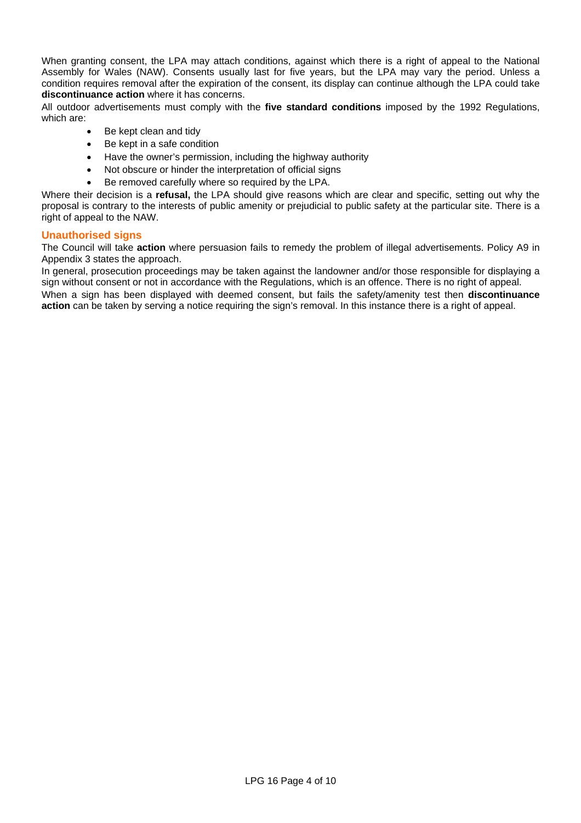When granting consent, the LPA may attach conditions, against which there is a right of appeal to the National Assembly for Wales (NAW). Consents usually last for five years, but the LPA may vary the period. Unless a condition requires removal after the expiration of the consent, its display can continue although the LPA could take **discontinuance action** where it has concerns.

All outdoor advertisements must comply with the **five standard conditions** imposed by the 1992 Regulations, which are:

- Be kept clean and tidy
- Be kept in a safe condition
- Have the owner's permission, including the highway authority
- Not obscure or hinder the interpretation of official signs
- Be removed carefully where so required by the LPA.

Where their decision is a **refusal,** the LPA should give reasons which are clear and specific, setting out why the proposal is contrary to the interests of public amenity or prejudicial to public safety at the particular site. There is a right of appeal to the NAW.

# **Unauthorised signs**

The Council will take **action** where persuasion fails to remedy the problem of illegal advertisements. Policy A9 in Appendix 3 states the approach.

In general, prosecution proceedings may be taken against the landowner and/or those responsible for displaying a sign without consent or not in accordance with the Regulations, which is an offence. There is no right of appeal. When a sign has been displayed with deemed consent, but fails the safety/amenity test then **discontinuance action** can be taken by serving a notice requiring the sign's removal. In this instance there is a right of appeal.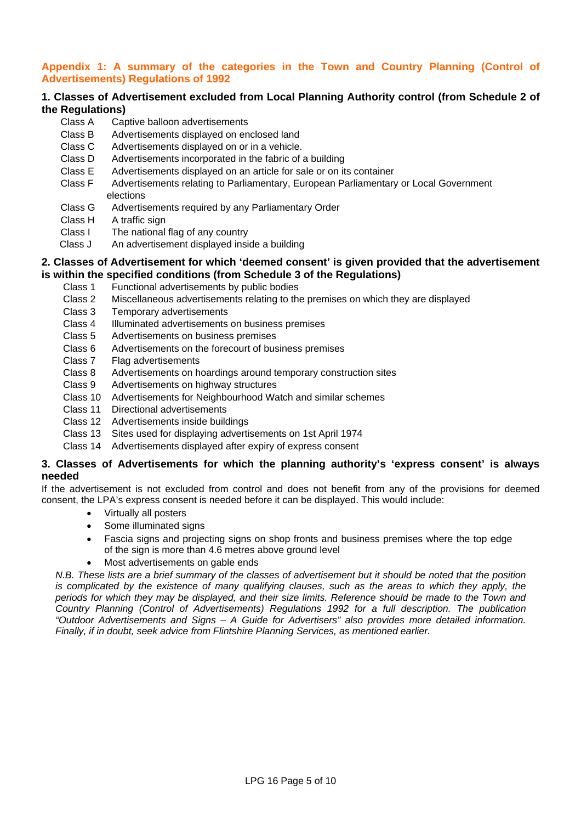# **Appendix 1: A summary of the categories in the Town and Country Planning (Control of Advertisements) Regulations of 1992**

# **1. Classes of Advertisement excluded from Local Planning Authority control (from Schedule 2 of the Regulations)**

- Class A Captive balloon advertisements
- Class B Advertisements displayed on enclosed land
- Class C Advertisements displayed on or in a vehicle.
- Class D Advertisements incorporated in the fabric of a building
- Class E Advertisements displayed on an article for sale or on its container
- Class F Advertisements relating to Parliamentary, European Parliamentary or Local Government elections
- Class G Advertisements required by any Parliamentary Order
- Class H A traffic sign
- Class I The national flag of any country
- Class J An advertisement displayed inside a building

# **2. Classes of Advertisement for which 'deemed consent' is given provided that the advertisement is within the specified conditions (from Schedule 3 of the Regulations)**

- Class 1 Functional advertisements by public bodies
- Class 2 Miscellaneous advertisements relating to the premises on which they are displayed
- Class 3 Temporary advertisements
- Class 4 Illuminated advertisements on business premises
- Class 5 Advertisements on business premises
- Class 6 Advertisements on the forecourt of business premises
- Class 7 Flag advertisements
- Class 8 Advertisements on hoardings around temporary construction sites
- Class 9 Advertisements on highway structures
- Class 10 Advertisements for Neighbourhood Watch and similar schemes
- Class 11 Directional advertisements
- Class 12 Advertisements inside buildings
- Class 13 Sites used for displaying advertisements on 1st April 1974
- Class 14 Advertisements displayed after expiry of express consent

# **3. Classes of Advertisements for which the planning authority's 'express consent' is always needed**

If the advertisement is not excluded from control and does not benefit from any of the provisions for deemed consent, the LPA's express consent is needed before it can be displayed. This would include:

- Virtually all posters
- Some illuminated signs
- Fascia signs and projecting signs on shop fronts and business premises where the top edge of the sign is more than 4.6 metres above ground level
- Most advertisements on gable ends

*N.B. These lists are a brief summary of the classes of advertisement but it should be noted that the position is complicated by the existence of many qualifying clauses, such as the areas to which they apply, the periods for which they may be displayed, and their size limits. Reference should be made to the Town and Country Planning (Control of Advertisements) Regulations 1992 for a full description. The publication "Outdoor Advertisements and Signs – A Guide for Advertisers" also provides more detailed information. Finally, if in doubt, seek advice from Flintshire Planning Services, as mentioned earlier.*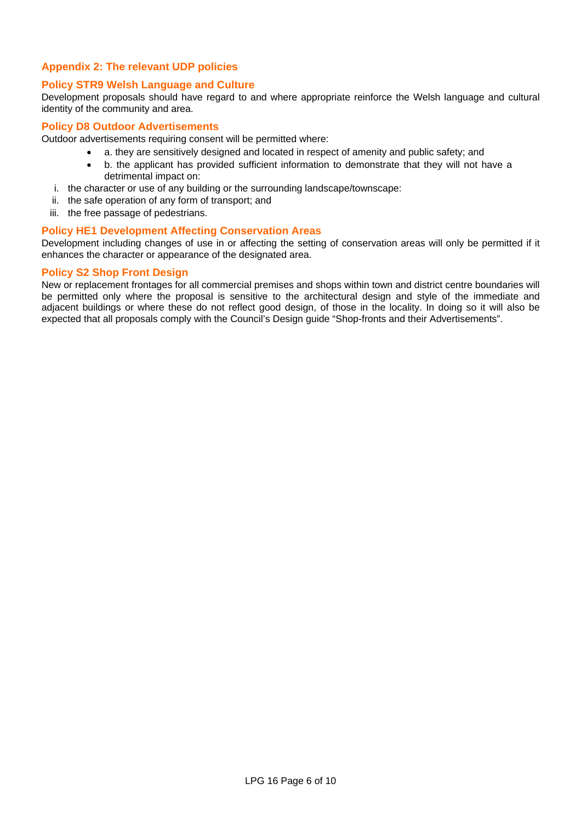# **Appendix 2: The relevant UDP policies**

# **Policy STR9 Welsh Language and Culture**

Development proposals should have regard to and where appropriate reinforce the Welsh language and cultural identity of the community and area.

# **Policy D8 Outdoor Advertisements**

Outdoor advertisements requiring consent will be permitted where:

- a. they are sensitively designed and located in respect of amenity and public safety; and
- b. the applicant has provided sufficient information to demonstrate that they will not have a detrimental impact on:
- i. the character or use of any building or the surrounding landscape/townscape:
- ii. the safe operation of any form of transport; and
- iii. the free passage of pedestrians.

# **Policy HE1 Development Affecting Conservation Areas**

Development including changes of use in or affecting the setting of conservation areas will only be permitted if it enhances the character or appearance of the designated area.

## **Policy S2 Shop Front Design**

New or replacement frontages for all commercial premises and shops within town and district centre boundaries will be permitted only where the proposal is sensitive to the architectural design and style of the immediate and adjacent buildings or where these do not reflect good design, of those in the locality. In doing so it will also be expected that all proposals comply with the Council's Design guide "Shop-fronts and their Advertisements".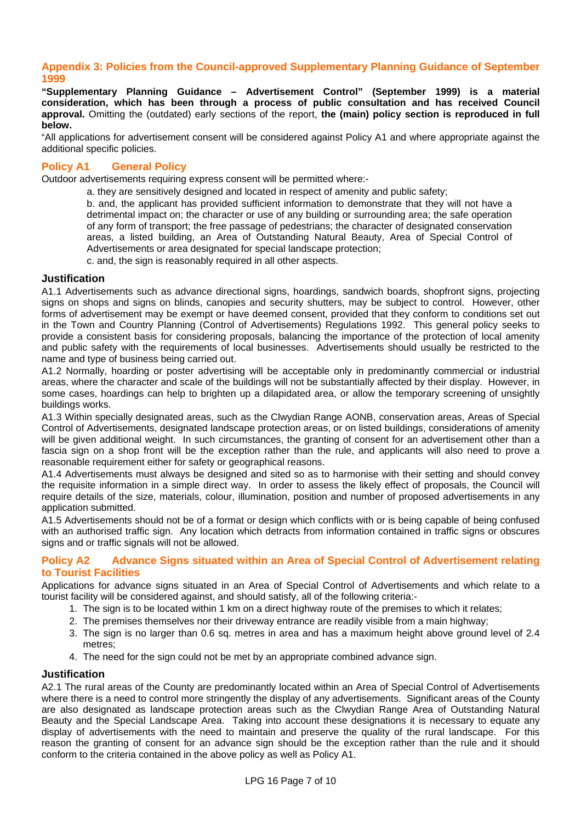# **Appendix 3: Policies from the Council-approved Supplementary Planning Guidance of September 1999**

**"Supplementary Planning Guidance – Advertisement Control" (September 1999) is a material consideration, which has been through a process of public consultation and has received Council approval.** Omitting the (outdated) early sections of the report, **the (main) policy section is reproduced in full below.** 

"All applications for advertisement consent will be considered against Policy A1 and where appropriate against the additional specific policies.

# **Policy A1 General Policy**

Outdoor advertisements requiring express consent will be permitted where:-

a. they are sensitively designed and located in respect of amenity and public safety;

b. and, the applicant has provided sufficient information to demonstrate that they will not have a detrimental impact on; the character or use of any building or surrounding area; the safe operation of any form of transport; the free passage of pedestrians; the character of designated conservation areas, a listed building, an Area of Outstanding Natural Beauty, Area of Special Control of Advertisements or area designated for special landscape protection;

c. and, the sign is reasonably required in all other aspects.

## **Justification**

A1.1 Advertisements such as advance directional signs, hoardings, sandwich boards, shopfront signs, projecting signs on shops and signs on blinds, canopies and security shutters, may be subject to control. However, other forms of advertisement may be exempt or have deemed consent, provided that they conform to conditions set out in the Town and Country Planning (Control of Advertisements) Regulations 1992. This general policy seeks to provide a consistent basis for considering proposals, balancing the importance of the protection of local amenity and public safety with the requirements of local businesses. Advertisements should usually be restricted to the name and type of business being carried out.

A1.2 Normally, hoarding or poster advertising will be acceptable only in predominantly commercial or industrial areas, where the character and scale of the buildings will not be substantially affected by their display. However, in some cases, hoardings can help to brighten up a dilapidated area, or allow the temporary screening of unsightly buildings works.

A1.3 Within specially designated areas, such as the Clwydian Range AONB, conservation areas, Areas of Special Control of Advertisements, designated landscape protection areas, or on listed buildings, considerations of amenity will be given additional weight. In such circumstances, the granting of consent for an advertisement other than a fascia sign on a shop front will be the exception rather than the rule, and applicants will also need to prove a reasonable requirement either for safety or geographical reasons.

A1.4 Advertisements must always be designed and sited so as to harmonise with their setting and should convey the requisite information in a simple direct way. In order to assess the likely effect of proposals, the Council will require details of the size, materials, colour, illumination, position and number of proposed advertisements in any application submitted.

A1.5 Advertisements should not be of a format or design which conflicts with or is being capable of being confused with an authorised traffic sign. Any location which detracts from information contained in traffic signs or obscures signs and or traffic signals will not be allowed.

# **Policy A2 Advance Signs situated within an Area of Special Control of Advertisement relating to Tourist Facilities**

Applications for advance signs situated in an Area of Special Control of Advertisements and which relate to a tourist facility will be considered against, and should satisfy, all of the following criteria:-

- 1. The sign is to be located within 1 km on a direct highway route of the premises to which it relates;
- 2. The premises themselves nor their driveway entrance are readily visible from a main highway;
- 3. The sign is no larger than 0.6 sq. metres in area and has a maximum height above ground level of 2.4 metres;
- 4. The need for the sign could not be met by an appropriate combined advance sign.

# **Justification**

A2.1 The rural areas of the County are predominantly located within an Area of Special Control of Advertisements where there is a need to control more stringently the display of any advertisements. Significant areas of the County are also designated as landscape protection areas such as the Clwydian Range Area of Outstanding Natural Beauty and the Special Landscape Area. Taking into account these designations it is necessary to equate any display of advertisements with the need to maintain and preserve the quality of the rural landscape. For this reason the granting of consent for an advance sign should be the exception rather than the rule and it should conform to the criteria contained in the above policy as well as Policy A1.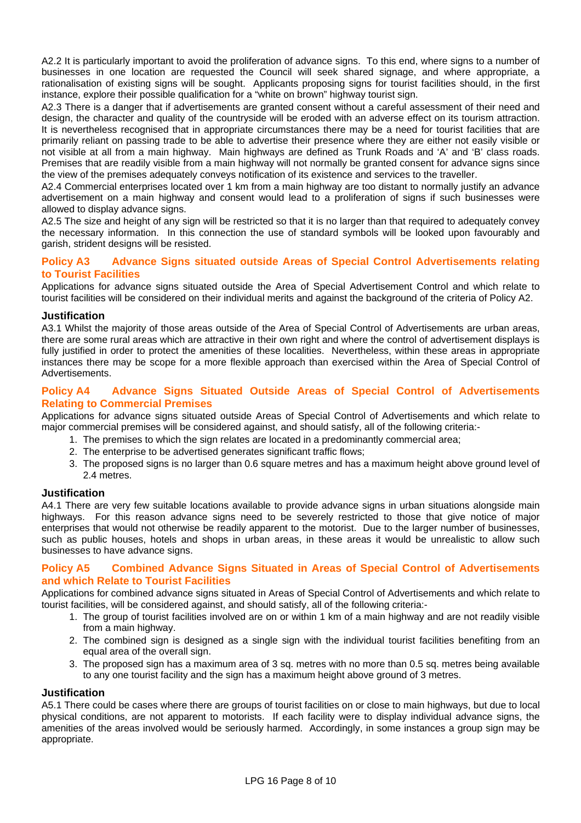A2.2 It is particularly important to avoid the proliferation of advance signs. To this end, where signs to a number of businesses in one location are requested the Council will seek shared signage, and where appropriate, a rationalisation of existing signs will be sought. Applicants proposing signs for tourist facilities should, in the first instance, explore their possible qualification for a "white on brown" highway tourist sign.

A2.3 There is a danger that if advertisements are granted consent without a careful assessment of their need and design, the character and quality of the countryside will be eroded with an adverse effect on its tourism attraction. It is nevertheless recognised that in appropriate circumstances there may be a need for tourist facilities that are primarily reliant on passing trade to be able to advertise their presence where they are either not easily visible or not visible at all from a main highway. Main highways are defined as Trunk Roads and 'A' and 'B' class roads. Premises that are readily visible from a main highway will not normally be granted consent for advance signs since the view of the premises adequately conveys notification of its existence and services to the traveller.

A2.4 Commercial enterprises located over 1 km from a main highway are too distant to normally justify an advance advertisement on a main highway and consent would lead to a proliferation of signs if such businesses were allowed to display advance signs.

A2.5 The size and height of any sign will be restricted so that it is no larger than that required to adequately convey the necessary information. In this connection the use of standard symbols will be looked upon favourably and garish, strident designs will be resisted.

# **Policy A3 Advance Signs situated outside Areas of Special Control Advertisements relating to Tourist Facilities**

Applications for advance signs situated outside the Area of Special Advertisement Control and which relate to tourist facilities will be considered on their individual merits and against the background of the criteria of Policy A2.

# **Justification**

A3.1 Whilst the majority of those areas outside of the Area of Special Control of Advertisements are urban areas, there are some rural areas which are attractive in their own right and where the control of advertisement displays is fully justified in order to protect the amenities of these localities. Nevertheless, within these areas in appropriate instances there may be scope for a more flexible approach than exercised within the Area of Special Control of Advertisements.

# **Policy A4 Advance Signs Situated Outside Areas of Special Control of Advertisements Relating to Commercial Premises**

Applications for advance signs situated outside Areas of Special Control of Advertisements and which relate to major commercial premises will be considered against, and should satisfy, all of the following criteria:-

- 1. The premises to which the sign relates are located in a predominantly commercial area;
- 2. The enterprise to be advertised generates significant traffic flows;
- 3. The proposed signs is no larger than 0.6 square metres and has a maximum height above ground level of 2.4 metres.

# **Justification**

A4.1 There are very few suitable locations available to provide advance signs in urban situations alongside main highways. For this reason advance signs need to be severely restricted to those that give notice of major enterprises that would not otherwise be readily apparent to the motorist. Due to the larger number of businesses, such as public houses, hotels and shops in urban areas, in these areas it would be unrealistic to allow such businesses to have advance signs.

# **Policy A5 Combined Advance Signs Situated in Areas of Special Control of Advertisements and which Relate to Tourist Facilities**

Applications for combined advance signs situated in Areas of Special Control of Advertisements and which relate to tourist facilities, will be considered against, and should satisfy, all of the following criteria:-

- 1. The group of tourist facilities involved are on or within 1 km of a main highway and are not readily visible from a main highway.
- 2. The combined sign is designed as a single sign with the individual tourist facilities benefiting from an equal area of the overall sign.
- 3. The proposed sign has a maximum area of 3 sq. metres with no more than 0.5 sq. metres being available to any one tourist facility and the sign has a maximum height above ground of 3 metres.

# **Justification**

A5.1 There could be cases where there are groups of tourist facilities on or close to main highways, but due to local physical conditions, are not apparent to motorists. If each facility were to display individual advance signs, the amenities of the areas involved would be seriously harmed. Accordingly, in some instances a group sign may be appropriate.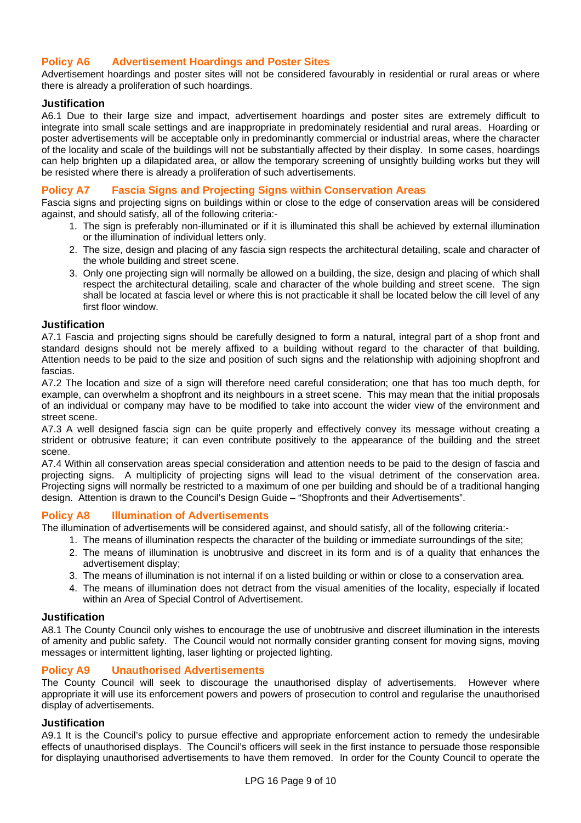# **Policy A6 Advertisement Hoardings and Poster Sites**

Advertisement hoardings and poster sites will not be considered favourably in residential or rural areas or where there is already a proliferation of such hoardings.

# **Justification**

A6.1 Due to their large size and impact, advertisement hoardings and poster sites are extremely difficult to integrate into small scale settings and are inappropriate in predominately residential and rural areas. Hoarding or poster advertisements will be acceptable only in predominantly commercial or industrial areas, where the character of the locality and scale of the buildings will not be substantially affected by their display. In some cases, hoardings can help brighten up a dilapidated area, or allow the temporary screening of unsightly building works but they will be resisted where there is already a proliferation of such advertisements.

# **Policy A7 Fascia Signs and Projecting Signs within Conservation Areas**

Fascia signs and projecting signs on buildings within or close to the edge of conservation areas will be considered against, and should satisfy, all of the following criteria:-

- 1. The sign is preferably non-illuminated or if it is illuminated this shall be achieved by external illumination or the illumination of individual letters only.
- 2. The size, design and placing of any fascia sign respects the architectural detailing, scale and character of the whole building and street scene.
- 3. Only one projecting sign will normally be allowed on a building, the size, design and placing of which shall respect the architectural detailing, scale and character of the whole building and street scene. The sign shall be located at fascia level or where this is not practicable it shall be located below the cill level of any first floor window.

## **Justification**

A7.1 Fascia and projecting signs should be carefully designed to form a natural, integral part of a shop front and standard designs should not be merely affixed to a building without regard to the character of that building. Attention needs to be paid to the size and position of such signs and the relationship with adjoining shopfront and fascias.

A7.2 The location and size of a sign will therefore need careful consideration; one that has too much depth, for example, can overwhelm a shopfront and its neighbours in a street scene. This may mean that the initial proposals of an individual or company may have to be modified to take into account the wider view of the environment and street scene.

A7.3 A well designed fascia sign can be quite properly and effectively convey its message without creating a strident or obtrusive feature; it can even contribute positively to the appearance of the building and the street scene.

A7.4 Within all conservation areas special consideration and attention needs to be paid to the design of fascia and projecting signs. A multiplicity of projecting signs will lead to the visual detriment of the conservation area. Projecting signs will normally be restricted to a maximum of one per building and should be of a traditional hanging design. Attention is drawn to the Council's Design Guide – "Shopfronts and their Advertisements".

#### **Policy A8 Illumination of Advertisements**

The illumination of advertisements will be considered against, and should satisfy, all of the following criteria:-

- 1. The means of illumination respects the character of the building or immediate surroundings of the site;
- 2. The means of illumination is unobtrusive and discreet in its form and is of a quality that enhances the advertisement display;
- 3. The means of illumination is not internal if on a listed building or within or close to a conservation area.
- 4. The means of illumination does not detract from the visual amenities of the locality, especially if located within an Area of Special Control of Advertisement.

#### **Justification**

A8.1 The County Council only wishes to encourage the use of unobtrusive and discreet illumination in the interests of amenity and public safety. The Council would not normally consider granting consent for moving signs, moving messages or intermittent lighting, laser lighting or projected lighting.

# **Policy A9 Unauthorised Advertisements**

The County Council will seek to discourage the unauthorised display of advertisements. However where appropriate it will use its enforcement powers and powers of prosecution to control and regularise the unauthorised display of advertisements.

#### **Justification**

A9.1 It is the Council's policy to pursue effective and appropriate enforcement action to remedy the undesirable effects of unauthorised displays. The Council's officers will seek in the first instance to persuade those responsible for displaying unauthorised advertisements to have them removed. In order for the County Council to operate the